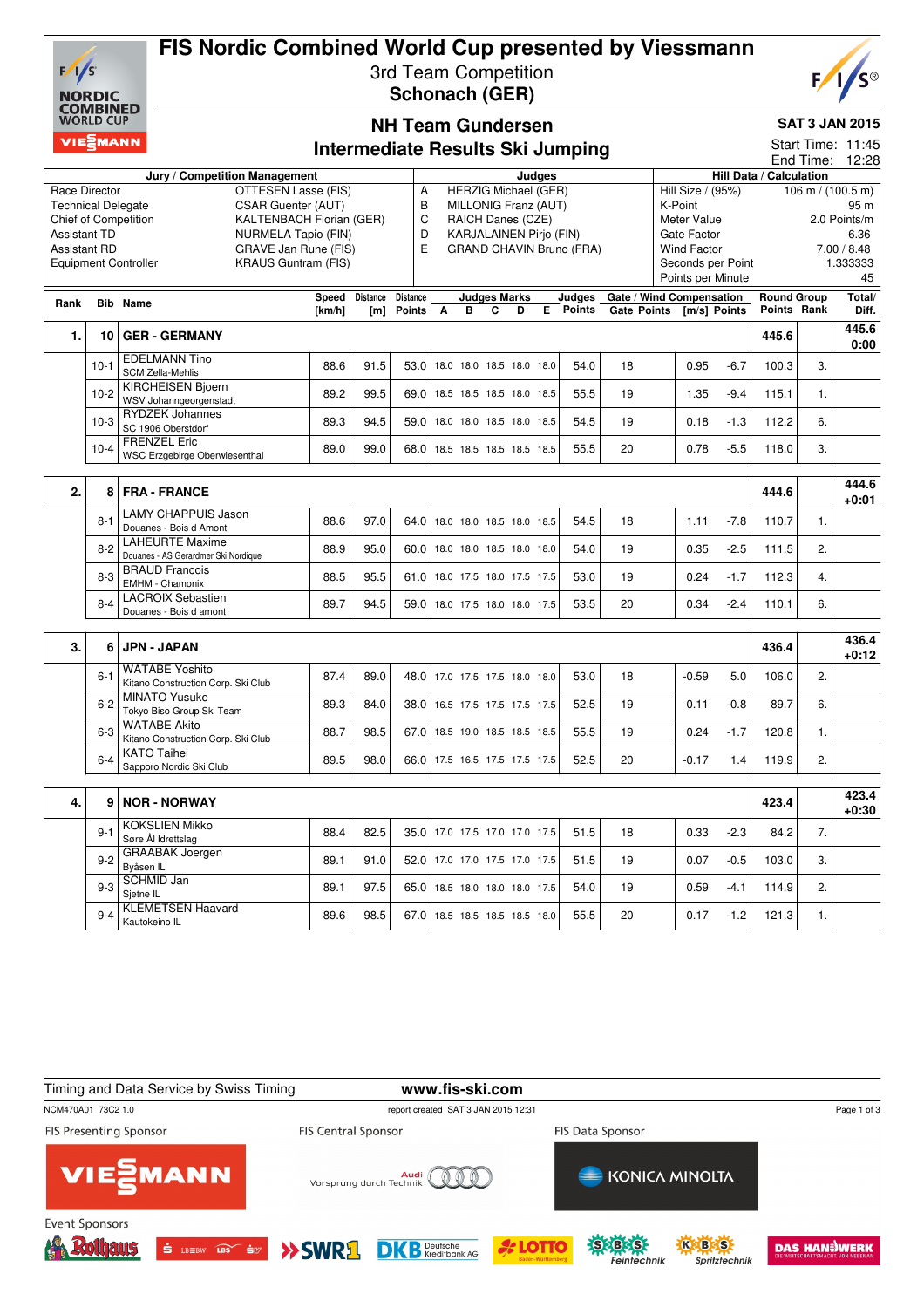

### **FIS Nordic Combined World Cup presented by Viessmann** 3rd Team Competition

**Schonach (GER)**



# **NH Team Gundersen**

#### **SAT 3 JAN 2015**

|                                                 | VIEZMANN |                                                               |        |          |                 |                               |                |                         |   |                                              | <b>Intermediate Results Ski Jumping</b> |                          |                    |         |                   |                         |                  | Start Time: 11:45                   |
|-------------------------------------------------|----------|---------------------------------------------------------------|--------|----------|-----------------|-------------------------------|----------------|-------------------------|---|----------------------------------------------|-----------------------------------------|--------------------------|--------------------|---------|-------------------|-------------------------|------------------|-------------------------------------|
|                                                 |          |                                                               |        |          |                 |                               |                |                         |   |                                              |                                         |                          |                    |         |                   |                         | End Time:        | 12:28                               |
| Race Director                                   |          | Jury / Competition Management<br>OTTESEN Lasse (FIS)          |        |          | Α               |                               |                |                         |   | <b>Judges</b><br><b>HERZIG Michael (GER)</b> |                                         |                          | Hill Size / (95%)  |         |                   | Hill Data / Calculation |                  | $106 \text{ m} / (100.5 \text{ m})$ |
| CSAR Guenter (AUT)<br><b>Technical Delegate</b> |          |                                                               |        |          |                 |                               |                |                         |   | MILLONIG Franz (AUT)                         |                                         |                          | K-Point            |         |                   |                         |                  | 95 m                                |
| Chief of Competition                            |          | <b>KALTENBACH Florian (GER)</b>                               | B<br>C |          |                 | RAICH Danes (CZE)             |                |                         |   |                                              | Meter Value                             |                          |                    |         |                   | 2.0 Points/m            |                  |                                     |
| <b>Assistant TD</b>                             |          | NURMELA Tapio (FIN)                                           |        |          | D               |                               |                |                         |   | <b>KARJALAINEN Pirjo (FIN)</b>               |                                         |                          | Gate Factor        |         |                   |                         |                  | 6.36                                |
| <b>Assistant RD</b>                             |          | <b>GRAVE Jan Rune (FIS)</b>                                   |        |          | E               |                               |                |                         |   |                                              | <b>GRAND CHAVIN Bruno (FRA)</b>         |                          | <b>Wind Factor</b> |         |                   |                         |                  | 7.00 / 8.48                         |
|                                                 |          | <b>KRAUS Guntram (FIS)</b><br><b>Equipment Controller</b>     |        |          |                 |                               |                |                         |   |                                              |                                         |                          |                    |         | Seconds per Point |                         |                  | 1.333333                            |
|                                                 |          |                                                               |        |          |                 |                               |                |                         |   |                                              |                                         |                          |                    |         | Points per Minute |                         |                  | 45                                  |
| Rank                                            |          | <b>Bib Name</b>                                               | Speed  | Distance | <b>Distance</b> |                               |                | <b>Judges Marks</b>     |   |                                              | Judges                                  | Gate / Wind Compensation |                    |         |                   | <b>Round Group</b>      |                  | Total/                              |
|                                                 |          |                                                               | [km/h] | [ml]     | <b>Points</b>   | A                             | $\overline{B}$ | $\overline{\mathbf{c}}$ | D | E.                                           | <b>Points</b>                           | <b>Gate Points</b>       |                    |         | [m/s] Points      | Points Rank             |                  | Diff.                               |
| 1.                                              | 10       | <b>GER - GERMANY</b>                                          |        |          |                 |                               |                |                         |   |                                              |                                         |                          |                    |         |                   | 445.6                   |                  | 445.6<br>0:00                       |
|                                                 | $10-1$   | <b>EDELMANN Tino</b><br><b>SCM Zella-Mehlis</b>               | 88.6   | 91.5     | 53.0            | 18.0 18.0 18.5 18.0 18.0      |                |                         |   |                                              | 54.0                                    | 18                       |                    | 0.95    | $-6.7$            | 100.3                   | 3.               |                                     |
|                                                 | $10-2$   | <b>KIRCHEISEN Bjoern</b><br>WSV Johanngeorgenstadt            | 89.2   | 99.5     | 69.0            | 18.5 18.5 18.5 18.0 18.5      |                |                         |   |                                              | 55.5                                    | 19                       |                    | 1.35    | $-9.4$            | 115.1                   | 1.               |                                     |
|                                                 | $10-3$   | <b>RYDZEK Johannes</b><br>SC 1906 Oberstdorf                  | 89.3   | 94.5     | 59.0            | 18.0 18.0 18.5 18.0 18.5      |                |                         |   |                                              | 54.5                                    | 19                       |                    | 0.18    | $-1.3$            | 112.2                   | 6.               |                                     |
|                                                 | $10-4$   | <b>FRENZEL Eric</b><br><b>WSC Erzgebirge Oberwiesenthal</b>   | 89.0   | 99.0     | 68.0            | 18.5 18.5 18.5 18.5 18.5      |                |                         |   |                                              | 55.5                                    | 20                       |                    | 0.78    | $-5.5$            | 118.0                   | 3.               |                                     |
|                                                 |          |                                                               |        |          |                 |                               |                |                         |   |                                              |                                         |                          |                    |         |                   |                         |                  |                                     |
| 2.                                              | 8        | <b>FRA - FRANCE</b>                                           |        |          |                 |                               |                |                         |   |                                              |                                         |                          |                    |         |                   | 444.6                   |                  | 444.6<br>+0:01                      |
|                                                 | $8 - 1$  | <b>LAMY CHAPPUIS Jason</b><br>Douanes - Bois d Amont          | 88.6   | 97.0     | 64.0            | 18.0 18.0 18.5 18.0 18.5      |                |                         |   |                                              | 54.5                                    | 18                       |                    | 1.11    | $-7.8$            | 110.7                   | $\mathbf{1}$ .   |                                     |
|                                                 | $8 - 2$  | <b>LAHEURTE Maxime</b><br>Douanes - AS Gerardmer Ski Nordique | 88.9   | 95.0     | 60.0            | 18.0 18.0 18.5 18.0 18.0      |                |                         |   |                                              | 54.0                                    | 19                       |                    | 0.35    | $-2.5$            | 111.5                   | 2.               |                                     |
|                                                 | $8 - 3$  | <b>BRAUD Francois</b><br>EMHM - Chamonix                      | 88.5   | 95.5     | 61.0            | 18.0 17.5 18.0 17.5 17.5      |                |                         |   |                                              | 53.0                                    | 19                       |                    | 0.24    | $-1.7$            | 112.3                   | $\overline{4}$ . |                                     |
|                                                 | $8 - 4$  | <b>LACROIX Sebastien</b><br>Douanes - Bois d amont            | 89.7   | 94.5     | 59.0            | 18.0 17.5 18.0 18.0 17.5      |                |                         |   |                                              | 53.5                                    | 20                       |                    | 0.34    | $-2.4$            | 110.1                   | 6.               |                                     |
|                                                 |          |                                                               |        |          |                 |                               |                |                         |   |                                              |                                         |                          |                    |         |                   |                         |                  |                                     |
| 3.                                              | 6        | <b>JPN - JAPAN</b>                                            |        |          |                 |                               |                |                         |   |                                              |                                         |                          |                    |         |                   | 436.4                   |                  | 436.4<br>$+0:12$                    |
|                                                 | $6 - 1$  | <b>WATABE Yoshito</b><br>Kitano Construction Corp. Ski Club   | 87.4   | 89.0     | 48.0            | 17.0 17.5 17.5 18.0 18.0      |                |                         |   |                                              | 53.0                                    | 18                       |                    | $-0.59$ | 5.0               | 106.0                   | 2.               |                                     |
|                                                 | $6 - 2$  | <b>MINATO Yusuke</b><br>Tokyo Biso Group Ski Team             | 89.3   | 84.0     | 38.0            | 16.5 17.5 17.5 17.5 17.5      |                |                         |   |                                              | 52.5                                    | 19                       |                    | 0.11    | $-0.8$            | 89.7                    | 6.               |                                     |
|                                                 | $6 - 3$  | <b>WATABE Akito</b><br>Kitano Construction Corp. Ski Club     | 88.7   | 98.5     | 67.0            | 18.5 19.0 18.5 18.5 18.5      |                |                         |   |                                              | 55.5                                    | 19                       |                    | 0.24    | $-1.7$            | 120.8                   | 1.               |                                     |
|                                                 | $6 - 4$  | <b>KATO Taihei</b><br>Sapporo Nordic Ski Club                 | 89.5   | 98.0     |                 | 66.0 17.5 16.5 17.5 17.5 17.5 |                |                         |   |                                              | 52.5                                    | 20                       |                    | $-0.17$ | 1.4               | 119.9                   | $\overline{2}$ . |                                     |
| 4.                                              | 9        | <b>NOR - NORWAY</b>                                           |        |          |                 |                               |                |                         |   |                                              |                                         |                          |                    |         |                   | 423.4                   |                  | 423.4<br>$+0:30$                    |
|                                                 | $9 - 1$  | <b>KOKSLIEN Mikko</b><br>Søre Ål Idrettslag                   | 88.4   | 82.5     | 35.0            | 17.0 17.5 17.0 17.0 17.5      |                |                         |   |                                              | 51.5                                    | 18                       |                    | 0.33    | $-2.3$            | 84.2                    | 7.               |                                     |
|                                                 | $9 - 2$  | <b>GRAABAK</b> Joergen<br>Byåsen IL                           | 89.1   | 91.0     | 52.0            | 17.0 17.0 17.5 17.0 17.5      |                |                         |   |                                              | 51.5                                    | 19                       |                    | 0.07    | $-0.5$            | 103.0                   | 3.               |                                     |
|                                                 | $9 - 3$  | <b>SCHMID Jan</b><br>Sjetne IL                                | 89.1   | 97.5     | 65.0            | 18.5 18.0 18.0 18.0 17.5      |                |                         |   |                                              | 54.0                                    | 19                       |                    | 0.59    | $-4.1$            | 114.9                   | 2.               |                                     |
|                                                 | $9 - 4$  | <b>KLEMETSEN Haavard</b><br>Kautokeino IL                     | 89.6   | 98.5     | 67.0            | 18.5 18.5 18.5 18.5 18.0      |                |                         |   |                                              | 55.5                                    | 20                       |                    | 0.17    | $-1.2$            | 121.3                   | 1.               |                                     |

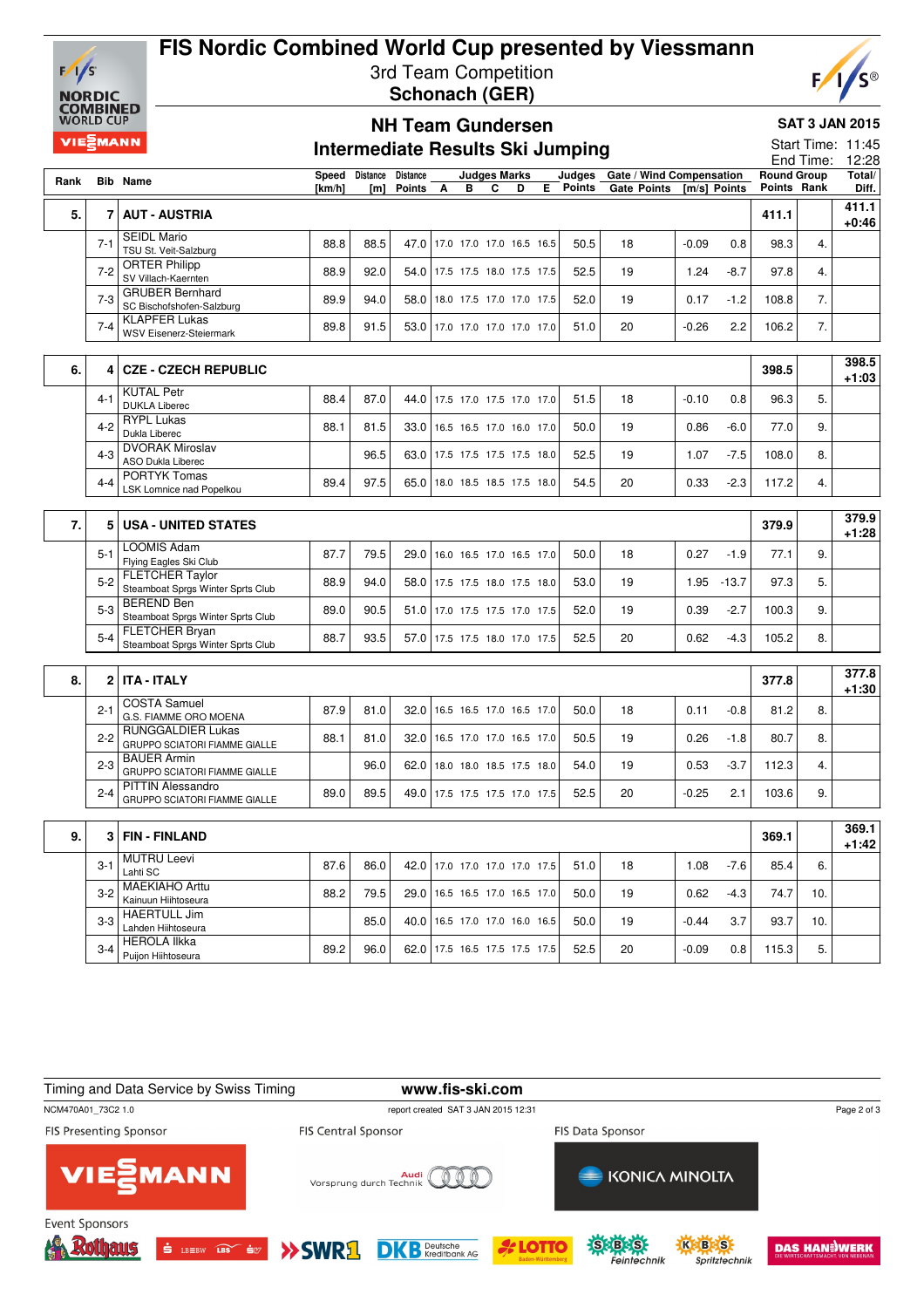

## **FIS Nordic Combined World Cup presented by Viessmann** 3rd Team Competition **Schonach (GER)**



#### **SAT 3 JAN 2015**

|      | <b>WORLD CUP</b>      |                                                                  |                 |                              | <b>NH Team Gundersen</b>    |                                 |                           |   |                                         |                                                |         |              |       | <b>SAT 3 JAN 2015</b><br>Start Time: 11:45<br>End Time:<br><b>Round Group</b><br>Points Rank<br>98.3<br>4.<br>97.8<br>4.<br>7.<br>7.<br>96.3<br>5.<br>9.<br>77.0 |                               |  |  |
|------|-----------------------|------------------------------------------------------------------|-----------------|------------------------------|-----------------------------|---------------------------------|---------------------------|---|-----------------------------------------|------------------------------------------------|---------|--------------|-------|------------------------------------------------------------------------------------------------------------------------------------------------------------------|-------------------------------|--|--|
|      | VIE <sup>S</sup> MANN |                                                                  |                 |                              |                             |                                 |                           |   | <b>Intermediate Results Ski Jumping</b> |                                                |         |              |       |                                                                                                                                                                  | 12:28                         |  |  |
| Rank |                       | <b>Bib Name</b>                                                  | Speed<br>[km/h] | Distance<br>[ <sub>m</sub> ] | <b>Distance</b><br>Points A | в                               | <b>Judges Marks</b><br>C. | D | Judaes<br>$\overline{E}$ Points         | Gate / Wind Compensation<br><b>Gate Points</b> |         | [m/s] Points |       |                                                                                                                                                                  | Total/<br>Diff.               |  |  |
| 5.   | $\overline{7}$        | <b>AUT - AUSTRIA</b>                                             |                 |                              |                             |                                 |                           |   |                                         |                                                |         |              | 411.1 |                                                                                                                                                                  | $\overline{411.1}$<br>$+0:46$ |  |  |
|      | $7 - 1$               | <b>SEIDL Mario</b><br>TSU St. Veit-Salzburg                      | 88.8            | 88.5                         |                             | 47.0 17.0 17.0 17.0 16.5 16.5   |                           |   | 50.5                                    | 18                                             | $-0.09$ | 0.8          |       |                                                                                                                                                                  |                               |  |  |
|      | $7-2$                 | <b>ORTER Philipp</b><br>SV Villach-Kaernten                      | 88.9            | 92.0                         |                             | 54.0 17.5 17.5 18.0 17.5 17.5   |                           |   | 52.5                                    | 19                                             | 1.24    | $-8.7$       |       |                                                                                                                                                                  |                               |  |  |
|      | $7-3$                 | <b>GRUBER Bernhard</b><br>SC Bischofshofen-Salzburg              | 89.9            | 94.0                         | 58.0                        | 18.0 17.5 17.0 17.0 17.5        |                           |   | 52.0                                    | 19                                             | 0.17    | $-1.2$       | 108.8 |                                                                                                                                                                  |                               |  |  |
|      | $7 - 4$               | <b>KLAPFER Lukas</b><br><b>WSV Eisenerz-Steiermark</b>           | 89.8            | 91.5                         | 53.0                        | 17.0 17.0 17.0 17.0 17.0        |                           |   | 51.0                                    | 20                                             | $-0.26$ | 2.2          | 106.2 |                                                                                                                                                                  |                               |  |  |
|      |                       |                                                                  |                 |                              |                             |                                 |                           |   |                                         |                                                |         |              |       |                                                                                                                                                                  |                               |  |  |
| 6.   | 4                     | <b>CZE - CZECH REPUBLIC</b>                                      |                 |                              |                             |                                 |                           |   |                                         |                                                |         |              | 398.5 |                                                                                                                                                                  | 398.5<br>$+1:03$              |  |  |
|      | $4 - 1$               | <b>KUTAL Petr</b><br><b>DUKLA Liberec</b>                        | 88.4            | 87.0                         | 44.0                        | 17.5 17.0 17.5 17.0 17.0        |                           |   | 51.5                                    | 18                                             | $-0.10$ | 0.8          |       |                                                                                                                                                                  |                               |  |  |
|      | $4 - 2$               | <b>RYPL Lukas</b><br>Dukla Liberec                               | 88.1            | 81.5                         | 33.0                        | 16.5 16.5 17.0 16.0 17.0        |                           |   | 50.0                                    | 19                                             | 0.86    | $-6.0$       |       |                                                                                                                                                                  |                               |  |  |
|      | $4 - 3$               | <b>DVORAK Miroslav</b><br><b>ASO Dukla Liberec</b>               |                 | 96.5                         |                             | 63.0 17.5 17.5 17.5 17.5 18.0   |                           |   | 52.5                                    | 19                                             | 1.07    | $-7.5$       | 108.0 | 8.                                                                                                                                                               |                               |  |  |
|      | $4 - 4$               | <b>PORTYK Tomas</b><br>LSK Lomnice nad Popelkou                  | 89.4            | 97.5                         |                             | 65.0 18.0 18.5 18.5 17.5 18.0   |                           |   | 54.5                                    | 20                                             | 0.33    | $-2.3$       | 117.2 | 4.                                                                                                                                                               |                               |  |  |
|      |                       |                                                                  |                 |                              |                             |                                 |                           |   |                                         |                                                |         |              |       |                                                                                                                                                                  |                               |  |  |
| 7.   |                       | 5 USA - UNITED STATES                                            |                 |                              |                             |                                 |                           |   |                                         |                                                |         |              | 379.9 |                                                                                                                                                                  | 379.9<br>$+1:28$              |  |  |
|      | $5 - 1$               | <b>LOOMIS Adam</b><br>Flying Eagles Ski Club                     | 87.7            | 79.5                         | 29.0                        | 16.0 16.5 17.0 16.5 17.0        |                           |   | 50.0                                    | 18                                             | 0.27    | $-1.9$       | 77.1  | 9.                                                                                                                                                               |                               |  |  |
|      | $5 - 2$               | <b>FLETCHER Taylor</b><br>Steamboat Sprgs Winter Sprts Club      | 88.9            | 94.0                         | 58.0                        | 17.5 17.5 18.0 17.5 18.0        |                           |   | 53.0                                    | 19                                             | 1.95    | $-13.7$      | 97.3  | 5.                                                                                                                                                               |                               |  |  |
|      | $5-3$                 | <b>BEREND Ben</b><br>Steamboat Sprgs Winter Sprts Club           | 89.0            | 90.5                         |                             | 51.0 17.0 17.5 17.5 17.0 17.5   |                           |   | 52.0                                    | 19                                             | 0.39    | $-2.7$       | 100.3 | 9.                                                                                                                                                               |                               |  |  |
|      | $5 - 4$               | <b>FLETCHER Bryan</b><br>Steamboat Sprgs Winter Sprts Club       | 88.7            | 93.5                         |                             | 57.0   17.5 17.5 18.0 17.0 17.5 |                           |   | 52.5                                    | 20                                             | 0.62    | $-4.3$       | 105.2 | 8.                                                                                                                                                               |                               |  |  |
|      |                       |                                                                  |                 |                              |                             |                                 |                           |   |                                         |                                                |         |              |       |                                                                                                                                                                  | 377.8                         |  |  |
| 8.   |                       | 2 ITA - ITALY                                                    |                 |                              |                             |                                 |                           |   |                                         |                                                |         |              | 377.8 |                                                                                                                                                                  | $+1:30$                       |  |  |
|      | $2 - 1$               | <b>COSTA Samuel</b><br>G.S. FIAMME ORO MOENA                     | 87.9            | 81.0                         | 32.0                        | 16.5 16.5 17.0 16.5 17.0        |                           |   | 50.0                                    | 18                                             | 0.11    | $-0.8$       | 81.2  | 8.                                                                                                                                                               |                               |  |  |
|      | $2 - 2$               | <b>RUNGGALDIER Lukas</b><br>GRUPPO SCIATORI FIAMME GIALLE        | 88.1            | 81.0                         |                             | 32.0 16.5 17.0 17.0 16.5 17.0   |                           |   | 50.5                                    | 19                                             | 0.26    | $-1.8$       | 80.7  | 8.                                                                                                                                                               |                               |  |  |
|      | $2 - 3$               | <b>BAUER Armin</b><br>GRUPPO SCIATORI FIAMME GIALLE              |                 | 96.0                         | 62.0                        | 18.0 18.0 18.5 17.5 18.0        |                           |   | 54.0                                    | 19                                             | 0.53    | $-3.7$       | 112.3 | 4.                                                                                                                                                               |                               |  |  |
|      | $2 - 4$               | <b>PITTIN Alessandro</b><br><b>GRUPPO SCIATORI FIAMME GIALLE</b> | 89.0            | 89.5                         |                             | 49.0 17.5 17.5 17.5 17.0 17.5   |                           |   | 52.5                                    | 20                                             | $-0.25$ | 2.1          | 103.6 | 9.                                                                                                                                                               |                               |  |  |
| 9.   | З.                    | <b>FIN-FINLAND</b>                                               |                 |                              |                             |                                 |                           |   |                                         |                                                |         |              | 369.1 |                                                                                                                                                                  | 369.1                         |  |  |
|      | $3-1$                 | <b>MUTRU Leevi</b>                                               | 87.6            | 86.0                         |                             | 42.0 17.0 17.0 17.0 17.0 17.5   |                           |   | 51.0                                    | 18                                             | 1.08    | $-7.6$       | 85.4  | 6.                                                                                                                                                               | $+1:42$                       |  |  |
|      | $3 - 2$               | Lahti SC<br><b>MAEKIAHO Arttu</b>                                | 88.2            | 79.5                         |                             | 29.0 16.5 16.5 17.0 16.5 17.0   |                           |   | 50.0                                    | 19                                             | 0.62    | $-4.3$       | 74.7  | 10.                                                                                                                                                              |                               |  |  |
|      | $3-3$                 | Kainuun Hiihtoseura<br><b>HAERTULL Jim</b>                       |                 | 85.0                         |                             |                                 |                           |   | 50.0                                    | 19                                             | $-0.44$ | 3.7          | 93.7  | 10.                                                                                                                                                              |                               |  |  |
|      |                       | Lahden Hiihtoseura<br><b>HEROLA Ilkka</b>                        |                 |                              |                             | 40.0   16.5 17.0 17.0 16.0 16.5 |                           |   |                                         |                                                |         |              |       |                                                                                                                                                                  |                               |  |  |
|      | $3 - 4$               | Puijon Hiihtoseura                                               | 89.2            | 96.0                         |                             | 62.0 17.5 16.5 17.5 17.5 17.5   |                           |   | 52.5                                    | 20                                             | $-0.09$ | 0.8          | 115.3 | 5.                                                                                                                                                               |                               |  |  |